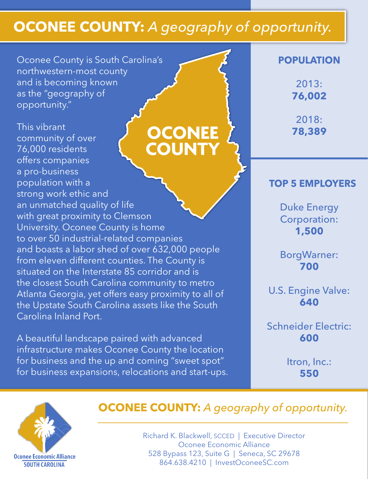# **Oconee County:** *A geography of opportunity.*

Oconee County is South Carolina's northwestern-most county and is becoming known as the "geography of opportunity."

This vibrant **OCONEE**<br>COUNTY community of over 76,000 residents offers companies a pro-business population with a strong work ethic and an unmatched quality of life with great proximity to Clemson University. Oconee County is home to over 50 industrial-related companies and boasts a labor shed of over 632,000 people from eleven different counties. The County is situated on the Interstate 85 corridor and is the closest South Carolina community to metro Atlanta Georgia, yet offers easy proximity to all of the Upstate South Carolina assets like the South Carolina Inland Port.

A beautiful landscape paired with advanced infrastructure makes Oconee County the location for business and the up and coming "sweet spot" for business expansions, relocations and start-ups.

### **Population**

2013: **76,002**

2018: **78,389**

## **Top 5 employers**

Duke Energy Corporation: **1,500**

BorgWarner: **700**

U.S. Engine Valve: **640**

Schneider Electric: **600**

> Itron, Inc.: **550**



# **OCONEE COUNTY:** A geography of opportunity.

Richard K. Blackwell, SCCED | Executive Director Oconee Economic Alliance 528 Bypass 123, Suite G | Seneca, SC 29678 864.638.4210 | InvestOconeeSC.com